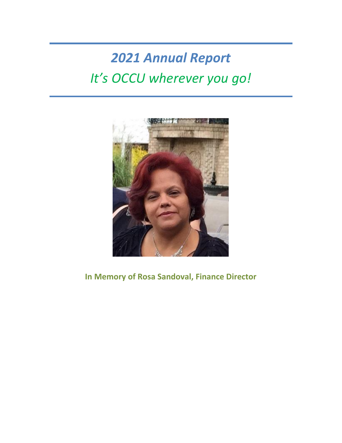# *2021 Annual Report It's OCCU wherever you go!*



# **In Memory of Rosa Sandoval, Finance Director**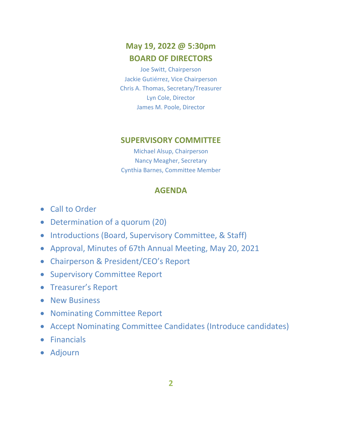# **May 19, 2022 @ 5:30pm BOARD OF DIRECTORS**

Joe Switt, Chairperson Jackie Gutiérrez, Vice Chairperson Chris A. Thomas, Secretary/Treasurer Lyn Cole, Director James M. Poole, Director

### **SUPERVISORY COMMITTEE**

Michael Alsup, Chairperson Nancy Meagher, Secretary Cynthia Barnes, Committee Member

### **AGENDA**

- Call to Order
- Determination of a quorum (20)
- Introductions (Board, Supervisory Committee, & Staff)
- Approval, Minutes of 67th Annual Meeting, May 20, 2021
- Chairperson & President/CEO's Report
- Supervisory Committee Report
- Treasurer's Report
- New Business
- Nominating Committee Report
- Accept Nominating Committee Candidates (Introduce candidates)
- Financials
- Adjourn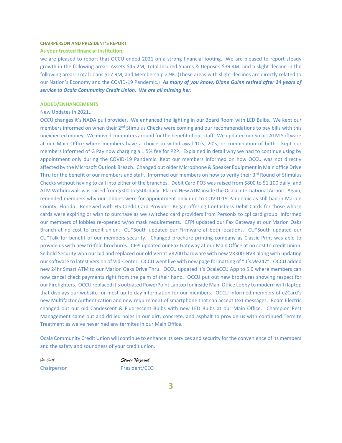#### **CHAIRPERSON AND PRESIDENT'S REPORT**

#### **As your trusted financial institution,**

we are pleased to report that OCCU ended 2021 on a strong financial footing. We are pleased to report steady growth in the following areas: Assets \$45.2M, Total Insured Shares & Deposits \$39.4M, and a slight decline in the following areas: Total Loans \$17.9M, and Membership 2.9K. (These areas with slight declines are directly related to our Nation's Economy and the COVID-19 Pandemic.) *As many of you know, Diane Guinn retired after 24 years of service to Ocala Community Credit Union. We are all missing her.*

#### **ADDED/ENHANCEMENTS**

#### New Updates in 2021…

OCCU changes it's NADA pull provider. We enhanced the lighting in our Board Room with LED Bulbs. We kept our members informed on when their 2<sup>nd</sup> Stimulus Checks were coming and our recommendations to pay bills with this unexpected money. We moved computers around for the benefit of our staff. We updated our Smart ATM Software at our Main Office where members have a choice to withdrawal 10's, 20's, or combination of both. Kept our members informed of G Pay now charging a 1.5% fee for P2P. Explained in detail why we had to continue using by appointment only during the COVID-19 Pandemic. Kept our members informed on how OCCU was not directly affected by the Microsoft Outlook Breach. Changed out older Microphone & Speaker Equipment in Main office Drive Thru for the benefit of our members and staff. Informed our members on how to verify their 3<sup>rd</sup> Round of Stimulus Checks without having to call into either of the branches. Debit Card POS was raised from \$800 to \$1,100 daily, and ATM Withdrawals was raised from \$300 to \$500 daily. Placed New ATM inside the Ocala International Airport. Again, reminded members why our lobbies were for appointment only due to COVID-19 Pandemic as still bad in Marion County, Florida. Renewed with FIS Credit Card Provider. Began offering Contactless Debit Cards for those whose cards were expiring or wish to purchase as we switched card providers from Personix to cpi card group. Informed our members of lobbies re-opened w/no mask requirements. CFPI updated our Fax Gateway at our Marion Oaks Branch at no cost to credit union. CU\*South updated our Firmware at both locations. CU\*South updated our CU\*Talk for benefit of our members security. Changed brochure printing company as Classic Print was able to provide us with new tri-fold brochures. CFPI updated our Fax Gateway at our Main Office at no cost to credit union. Seibold Security won our bid and replaced our old Verint VR200 hardware with new VR300-NVR along with updating our software to latest version of Vid-Center. OCCU went live with new page formatting of "It's*Me*247". OCCU added new 24hr Smart ATM to our Marion Oaks Drive Thru. OCCU updated it's OcalaCCU App to 5.0 where members can now cancel check payments right from the palm of their hand. OCCU put out new brochures showing respect for our Firefighters. OCCU replaced it's outdated PowerPoint Laptop for inside Main Office Lobby to modern wi-fi laptop that displays our website for most up to day information for our members. OCCU informed members of eZCard's new Multifactor Authentication and new requirement of smartphone that can accept text messages. Roam Electric changed out our old Candescent & Fluorescent Bulbs with new LED Bulbs at our Main Office. Champion Pest Management came out and drilled holes in our dirt, concrete, and asphalt to provide us with continued Termite Treatment as we've never had any termites in our Main Office.

Ocala Community Credit Union will continue to enhance its services and security for the convenience of its members and the safety and soundness of your credit union.

Joe Switt *Steven Nazaruk,* Chairperson President/CEO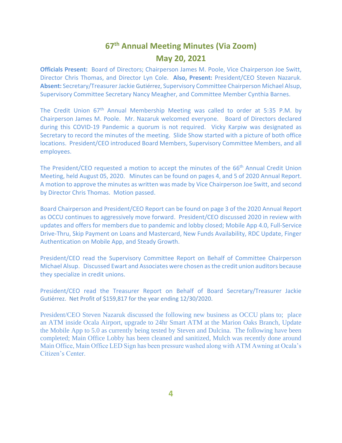## **67 th Annual Meeting Minutes (Via Zoom) May 20, 2021**

**Officials Present:** Board of Directors; Chairperson James M. Poole, Vice Chairperson Joe Switt, Director Chris Thomas, and Director Lyn Cole. **Also, Present:** President/CEO Steven Nazaruk. **Absent:** Secretary/Treasurer Jackie Gutiérrez, Supervisory Committee Chairperson Michael Alsup, Supervisory Committee Secretary Nancy Meagher, and Committee Member Cynthia Barnes.

The Credit Union 67<sup>th</sup> Annual Membership Meeting was called to order at 5:35 P.M. by Chairperson James M. Poole. Mr. Nazaruk welcomed everyone. Board of Directors declared during this COVID-19 Pandemic a quorum is not required. Vicky Karpiw was designated as Secretary to record the minutes of the meeting. Slide Show started with a picture of both office locations. President/CEO introduced Board Members, Supervisory Committee Members, and all employees.

The President/CEO requested a motion to accept the minutes of the 66<sup>th</sup> Annual Credit Union Meeting, held August 05, 2020. Minutes can be found on pages 4, and 5 of 2020 Annual Report. A motion to approve the minutes as written was made by Vice Chairperson Joe Switt, and second by Director Chris Thomas. Motion passed.

Board Chairperson and President/CEO Report can be found on page 3 of the 2020 Annual Report as OCCU continues to aggressively move forward. President/CEO discussed 2020 in review with updates and offers for members due to pandemic and lobby closed; Mobile App 4.0, Full-Service Drive-Thru, Skip Payment on Loans and Mastercard, New Funds Availability, RDC Update, Finger Authentication on Mobile App, and Steady Growth.

President/CEO read the Supervisory Committee Report on Behalf of Committee Chairperson Michael Alsup. Discussed Ewart and Associates were chosen as the credit union auditors because they specialize in credit unions.

President/CEO read the Treasurer Report on Behalf of Board Secretary/Treasurer Jackie Gutiérrez. Net Profit of \$159,817 for the year ending 12/30/2020.

President/CEO Steven Nazaruk discussed the following new business as OCCU plans to; place an ATM inside Ocala Airport, upgrade to 24hr Smart ATM at the Marion Oaks Branch, Update the Mobile App to 5.0 as currently being tested by Steven and Dulcina. The following have been completed; Main Office Lobby has been cleaned and sanitized, Mulch was recently done around Main Office, Main Office LED Sign has been pressure washed along with ATM Awning at Ocala's Citizen's Center.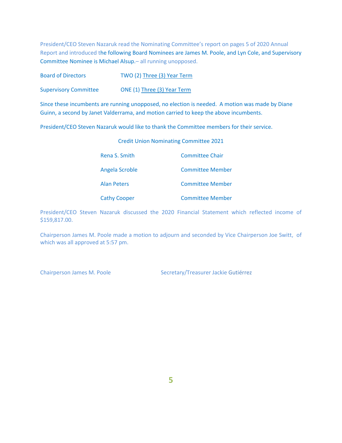President/CEO Steven Nazaruk read the Nominating Committee's report on pages 5 of 2020 Annual Report and introduced the following Board Nominees are James M. Poole, and Lyn Cole, and Supervisory Committee Nominee is Michael Alsup.– all running unopposed.

| <b>Board of Directors</b>    | TWO (2) Three (3) Year Term |
|------------------------------|-----------------------------|
| <b>Supervisory Committee</b> | ONE (1) Three (3) Year Term |

Since these incumbents are running unopposed, no election is needed. A motion was made by Diane Guinn, a second by Janet Valderrama, and motion carried to keep the above incumbents.

President/CEO Steven Nazaruk would like to thank the Committee members for their service.

### Credit Union Nominating Committee 2021

| Rena S. Smith       | Committee Chair         |
|---------------------|-------------------------|
| Angela Scroble      | <b>Committee Member</b> |
| <b>Alan Peters</b>  | <b>Committee Member</b> |
| <b>Cathy Cooper</b> | <b>Committee Member</b> |

President/CEO Steven Nazaruk discussed the 2020 Financial Statement which reflected income of \$159,817.00.

Chairperson James M. Poole made a motion to adjourn and seconded by Vice Chairperson Joe Switt, of which was all approved at 5:57 pm.

Chairperson James M. Poole Secretary/Treasurer Jackie Gutiérrez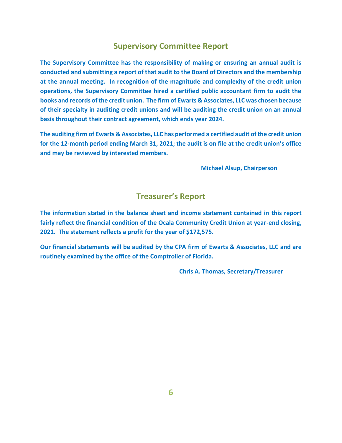### **Supervisory Committee Report**

**The Supervisory Committee has the responsibility of making or ensuring an annual audit is conducted and submitting a report of that audit to the Board of Directors and the membership at the annual meeting. In recognition of the magnitude and complexity of the credit union operations, the Supervisory Committee hired a certified public accountant firm to audit the books and records of the credit union. The firm of Ewarts & Associates, LLC was chosen because of their specialty in auditing credit unions and will be auditing the credit union on an annual basis throughout their contract agreement, which ends year 2024.**

**The auditing firm of Ewarts & Associates, LLC has performed a certified audit of the credit union for the 12-month period ending March 31, 2021; the audit is on file at the credit union's office and may be reviewed by interested members.**

**Michael Alsup, Chairperson**

### **Treasurer's Report**

**The information stated in the balance sheet and income statement contained in this report fairly reflect the financial condition of the Ocala Community Credit Union at year-end closing, 2021. The statement reflects a profit for the year of \$172,575.**

**Our financial statements will be audited by the CPA firm of Ewarts & Associates, LLC and are routinely examined by the office of the Comptroller of Florida.**

**Chris A. Thomas, Secretary/Treasurer**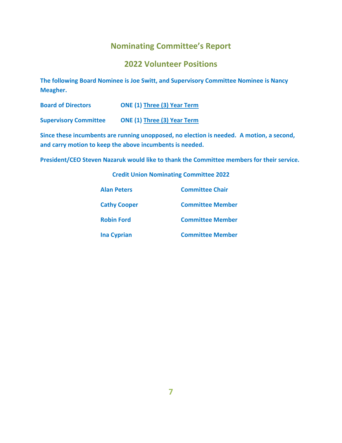### **Nominating Committee's Report**

### **2022 Volunteer Positions**

**The following Board Nominee is Joe Switt, and Supervisory Committee Nominee is Nancy Meagher.**

| <b>Board of Directors</b> | <b>ONE (1) Three (3) Year Term</b> |
|---------------------------|------------------------------------|
|---------------------------|------------------------------------|

**Supervisory Committee ONE (1) Three (3) Year Term**

**Since these incumbents are running unopposed, no election is needed. A motion, a second, and carry motion to keep the above incumbents is needed.**

**President/CEO Steven Nazaruk would like to thank the Committee members for their service.**

**Credit Union Nominating Committee 2022**

| <b>Alan Peters</b>  | <b>Committee Chair</b>  |
|---------------------|-------------------------|
| <b>Cathy Cooper</b> | <b>Committee Member</b> |
| <b>Robin Ford</b>   | <b>Committee Member</b> |
| <b>Ina Cyprian</b>  | <b>Committee Member</b> |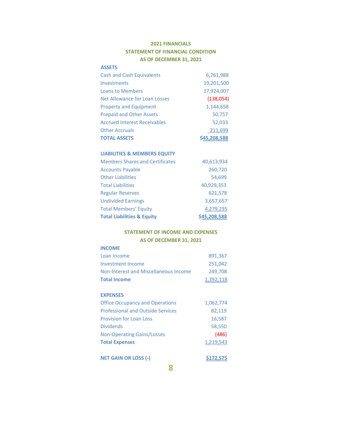### **2021 FINANCIALS STATEMENT OF FINANCIAL CONDITION AS OF DECEMBER 31, 2021**

### **ASSETS**

| <b>Cash and Cash Equivalents</b>     | 6,761,988    |
|--------------------------------------|--------------|
| Investments                          | 19,201,500   |
| <b>Loans to Members</b>              | 17,924,007   |
| <b>Net Allowance for Loan Losses</b> | (138,054)    |
| <b>Property and Equipment</b>        | 1,144,658    |
| <b>Prepaid and Other Assets</b>      | 50,757       |
| <b>Accrued Interest Receivables</b>  | 52,033       |
| <b>Other Accruals</b>                | 211,699      |
| <b>TOTAL ASSETS</b>                  | \$45,208,588 |

#### **LIABILITIES & MEMBERS EQUITY**

| <b>Members Shares and Certificates</b> | 40,613,934   |
|----------------------------------------|--------------|
| <b>Accounts Payable</b>                | 260,720      |
| <b>Other Liabilities</b>               | 54,699       |
| <b>Total Liabilities</b>               | 40,929,353   |
| <b>Regular Reserves</b>                | 621,578      |
| <b>Undivided Earnings</b>              | 3,657,657    |
| <b>Total Members' Equity</b>           | 4,279,235    |
| <b>Total Liabilities &amp; Equity</b>  | \$45,208,588 |

### **STATEMENT OF INCOME AND EXPENSES AS OF DECEMBER 31, 2021**

| <b>INCOME</b>                         |           |
|---------------------------------------|-----------|
| Loan Income                           | 891,367   |
| Investment Income                     | 251.042   |
| Non-Interest and Miscellaneous Income | 249,708   |
| <b>Total Income</b>                   | 1,392,118 |

#### **EXPENSES**

| <b>Office Occupancy and Operations</b>   | 1,062,774 |
|------------------------------------------|-----------|
| <b>Professional and Outside Services</b> | 82,119    |
| <b>Provision for Loan Loss</b>           | 16,587    |
| <b>Dividends</b>                         | 58,550    |
| <b>Non-Operating Gains/Losses</b>        | (486)     |
| <b>Total Expenses</b>                    | 1,219,543 |

#### **NET GAIN OR LOSS (-)** \$172,575

**8**